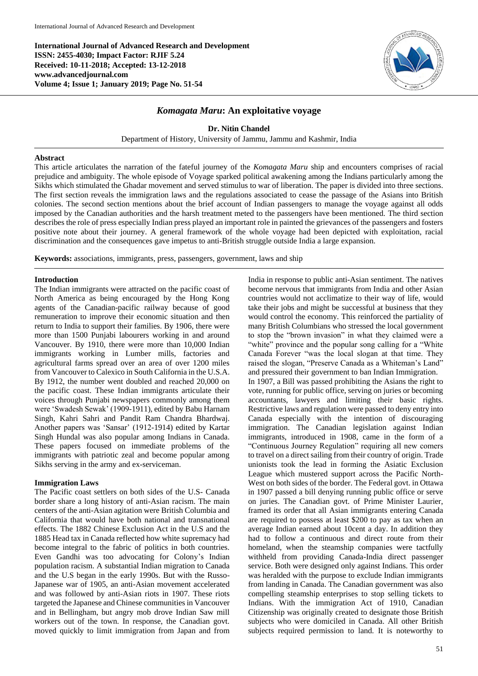**International Journal of Advanced Research and Development ISSN: 2455-4030; Impact Factor: RJIF 5.24 Received: 10-11-2018; Accepted: 13-12-2018 www.advancedjournal.com Volume 4; Issue 1; January 2019; Page No. 51-54**



# *Komagata Maru***: An exploitative voyage**

**Dr. Nitin Chandel**

Department of History, University of Jammu, Jammu and Kashmir, India

### **Abstract**

This article articulates the narration of the fateful journey of the *Komagata Maru* ship and encounters comprises of racial prejudice and ambiguity. The whole episode of Voyage sparked political awakening among the Indians particularly among the Sikhs which stimulated the Ghadar movement and served stimulus to war of liberation. The paper is divided into three sections. The first section reveals the immigration laws and the regulations associated to cease the passage of the Asians into British colonies. The second section mentions about the brief account of Indian passengers to manage the voyage against all odds imposed by the Canadian authorities and the harsh treatment meted to the passengers have been mentioned. The third section describes the role of press especially Indian press played an important role in painted the grievances of the passengers and fosters positive note about their journey. A general framework of the whole voyage had been depicted with exploitation, racial discrimination and the consequences gave impetus to anti-British struggle outside India a large expansion.

**Keywords:** associations, immigrants, press, passengers, government, laws and ship

## **Introduction**

The Indian immigrants were attracted on the pacific coast of North America as being encouraged by the Hong Kong agents of the Canadian-pacific railway because of good remuneration to improve their economic situation and then return to India to support their families. By 1906, there were more than 1500 Punjabi labourers working in and around Vancouver. By 1910, there were more than 10,000 Indian immigrants working in Lumber mills, factories and agricultural farms spread over an area of over 1200 miles from Vancouver to Calexico in South California in the U.S.A. By 1912, the number went doubled and reached 20,000 on the pacific coast. These Indian immigrants articulate their voices through Punjabi newspapers commonly among them were 'Swadesh Sewak' (1909-1911), edited by Babu Harnam Singh, Kahri Sahri and Pandit Ram Chandra Bhardwaj. Another papers was 'Sansar' (1912-1914) edited by Kartar Singh Hundal was also popular among Indians in Canada. These papers focused on immediate problems of the immigrants with patriotic zeal and become popular among Sikhs serving in the army and ex-serviceman.

### **Immigration Laws**

The Pacific coast settlers on both sides of the U.S- Canada border share a long history of anti-Asian racism. The main centers of the anti-Asian agitation were British Columbia and California that would have both national and transnational effects. The 1882 Chinese Exclusion Act in the U.S and the 1885 Head tax in Canada reflected how white supremacy had become integral to the fabric of politics in both countries. Even Gandhi was too advocating for Colony's Indian population racism. A substantial Indian migration to Canada and the U.S began in the early 1990s. But with the Russo-Japanese war of 1905, an anti-Asian movement accelerated and was followed by anti-Asian riots in 1907. These riots targeted the Japanese and Chinese communities in Vancouver and in Bellingham, but angry mob drove Indian Saw mill workers out of the town. In response, the Canadian govt. moved quickly to limit immigration from Japan and from

India in response to public anti-Asian sentiment. The natives become nervous that immigrants from India and other Asian countries would not acclimatize to their way of life, would take their jobs and might be successful at business that they would control the economy. This reinforced the partiality of many British Columbians who stressed the local government to stop the "brown invasion" in what they claimed were a "white" province and the popular song calling for a "White" Canada Forever "was the local slogan at that time. They raised the slogan, "Preserve Canada as a Whiteman's Land" and pressured their government to ban Indian Immigration. In 1907, a Bill was passed prohibiting the Asians the right to vote, running for public office, serving on juries or becoming accountants, lawyers and limiting their basic rights. Restrictive laws and regulation were passed to deny entry into Canada especially with the intention of discouraging immigration. The Canadian legislation against Indian immigrants, introduced in 1908, came in the form of a "Continuous Journey Regulation" requiring all new comers to travel on a direct sailing from their country of origin. Trade unionists took the lead in forming the Asiatic Exclusion League which mustered support across the Pacific North-West on both sides of the border. The Federal govt. in Ottawa in 1907 passed a bill denying running public office or serve on juries. The Canadian govt. of Prime Minister Laurier, framed its order that all Asian immigrants entering Canada are required to possess at least \$200 to pay as tax when an average Indian earned about 10cent a day. In addition they had to follow a continuous and direct route from their homeland, when the steamship companies were tactfully withheld from providing Canada-India direct passenger service. Both were designed only against Indians. This order was heralded with the purpose to exclude Indian immigrants from landing in Canada. The Canadian government was also compelling steamship enterprises to stop selling tickets to Indians. With the immigration Act of 1910, Canadian Citizenship was originally created to designate those British subjects who were domiciled in Canada. All other British subjects required permission to land. It is noteworthy to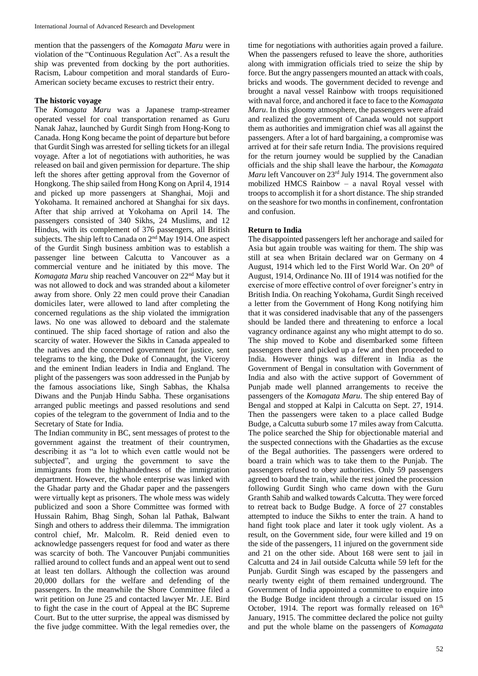mention that the passengers of the *Komagata Maru* were in violation of the "Continuous Regulation Act". As a result the ship was prevented from docking by the port authorities. Racism, Labour competition and moral standards of Euro-American society became excuses to restrict their entry.

## **The historic voyage**

The *Komagata Maru* was a Japanese tramp-streamer operated vessel for coal transportation renamed as Guru Nanak Jahaz, launched by Gurdit Singh from Hong-Kong to Canada. Hong Kong became the point of departure but before that Gurdit Singh was arrested for selling tickets for an illegal voyage. After a lot of negotiations with authorities, he was released on bail and given permission for departure. The ship left the shores after getting approval from the Governor of Hongkong. The ship sailed from Hong Kong on April 4, 1914 and picked up more passengers at Shanghai, Moji and Yokohama. It remained anchored at Shanghai for six days. After that ship arrived at Yokohama on April 14. The passengers consisted of 340 Sikhs, 24 Muslims, and 12 Hindus, with its complement of 376 passengers, all British subjects. The ship left to Canada on 2nd May 1914. One aspect of the Gurdit Singh business ambition was to establish a passenger line between Calcutta to Vancouver as a commercial venture and he initiated by this move. The *Komagata Maru* ship reached Vancouver on 22nd May but it was not allowed to dock and was stranded about a kilometer away from shore. Only 22 men could prove their Canadian domiciles later, were allowed to land after completing the concerned regulations as the ship violated the immigration laws. No one was allowed to deboard and the stalemate continued. The ship faced shortage of ration and also the scarcity of water. However the Sikhs in Canada appealed to the natives and the concerned government for justice, sent telegrams to the king, the Duke of Connaught, the Viceroy and the eminent Indian leaders in India and England. The plight of the passengers was soon addressed in the Punjab by the famous associations like, Singh Sabhas, the Khalsa Diwans and the Punjab Hindu Sabha. These organisations arranged public meetings and passed resolutions and send copies of the telegram to the government of India and to the Secretary of State for India.

The Indian community in BC, sent messages of protest to the government against the treatment of their countrymen, describing it as "a lot to which even cattle would not be subjected", and urging the government to save the immigrants from the highhandedness of the immigration department. However, the whole enterprise was linked with the Ghadar party and the Ghadar paper and the passengers were virtually kept as prisoners. The whole mess was widely publicized and soon a Shore Committee was formed with Hussain Rahim, Bhag Singh, Sohan lal Pathak, Balwant Singh and others to address their dilemma. The immigration control chief, Mr. Malcolm. R. Reid denied even to acknowledge passengers request for food and water as there was scarcity of both. The Vancouver Punjabi communities rallied around to collect funds and an appeal went out to send at least ten dollars. Although the collection was around 20,000 dollars for the welfare and defending of the passengers. In the meanwhile the Shore Committee filed a writ petition on June 25 and contacted lawyer Mr. J.E. Bird to fight the case in the court of Appeal at the BC Supreme Court. But to the utter surprise, the appeal was dismissed by the five judge committee. With the legal remedies over, the

time for negotiations with authorities again proved a failure. When the passengers refused to leave the shore, authorities along with immigration officials tried to seize the ship by force. But the angry passengers mounted an attack with coals, bricks and woods. The government decided to revenge and brought a naval vessel Rainbow with troops requisitioned with naval force, and anchored it face to face to the *Komagata Maru*. In this gloomy atmosphere, the passengers were afraid and realized the government of Canada would not support them as authorities and immigration chief was all against the passengers. After a lot of hard bargaining, a compromise was arrived at for their safe return India. The provisions required for the return journey would be supplied by the Canadian officials and the ship shall leave the harbour, the *Komagata Maru* left Vancouver on 23<sup>rd</sup> July 1914. The government also mobilized HMCS Rainbow – a naval Royal vessel with troops to accomplish it for a short distance. The ship stranded on the seashore for two months in confinement, confrontation and confusion.

## **Return to India**

The disappointed passengers left her anchorage and sailed for Asia but again trouble was waiting for them. The ship was still at sea when Britain declared war on Germany on 4 August, 1914 which led to the First World War. On 20<sup>th</sup> of August, 1914, Ordinance No. III of 1914 was notified for the exercise of more effective control of over foreigner's entry in British India. On reaching Yokohama, Gurdit Singh received a letter from the Government of Hong Kong notifying him that it was considered inadvisable that any of the passengers should be landed there and threatening to enforce a local vagrancy ordinance against any who might attempt to do so. The ship moved to Kobe and disembarked some fifteen passengers there and picked up a few and then proceeded to India. However things was different in India as the Government of Bengal in consultation with Government of India and also with the active support of Government of Punjab made well planned arrangements to receive the passengers of the *Komagata Maru*. The ship entered Bay of Bengal and stopped at Kalpi in Calcutta on Sept. 27, 1914. Then the passengers were taken to a place called Budge Budge, a Calcutta suburb some 17 miles away from Calcutta. The police searched the Ship for objectionable material and the suspected connections with the Ghadarties as the excuse of the Begal authorities. The passengers were ordered to board a train which was to take them to the Punjab. The passengers refused to obey authorities. Only 59 passengers agreed to board the train, while the rest joined the procession following Gurdit Singh who came down with the Guru Granth Sahib and walked towards Calcutta. They were forced to retreat back to Budge Budge. A force of 27 constables attempted to induce the Sikhs to enter the train. A hand to hand fight took place and later it took ugly violent. As a result, on the Government side, four were killed and 19 on the side of the passengers, 11 injured on the government side and 21 on the other side. About 168 were sent to jail in Calcutta and 24 in Jail outside Calcutta while 59 left for the Punjab. Gurdit Singh was escaped by the passengers and nearly twenty eight of them remained underground. The Government of India appointed a committee to enquire into the Budge Budge incident through a circular issued on 15 October, 1914. The report was formally released on  $16<sup>th</sup>$ January, 1915. The committee declared the police not guilty and put the whole blame on the passengers of *Komagata*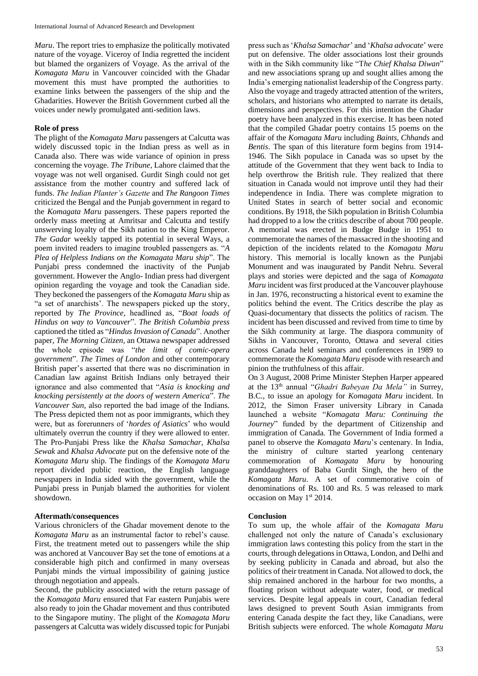*Maru*. The report tries to emphasize the politically motivated nature of the voyage. Viceroy of India regretted the incident but blamed the organizers of Voyage. As the arrival of the *Komagata Maru* in Vancouver coincided with the Ghadar movement this must have prompted the authorities to examine links between the passengers of the ship and the Ghadarities. However the British Government curbed all the voices under newly promulgated anti-sedition laws.

#### **Role of press**

The plight of the *Komagata Maru* passengers at Calcutta was widely discussed topic in the Indian press as well as in Canada also. There was wide variance of opinion in press concerning the voyage. *The Tribune*, Lahore claimed that the voyage was not well organised. Gurdit Singh could not get assistance from the mother country and suffered lack of funds. *The Indian Planter's Gazette* and *The Rangoon Times* criticized the Bengal and the Punjab government in regard to the *Komagata Maru* passengers. These papers reported the orderly mass meeting at Amritsar and Calcutta and testify unswerving loyalty of the Sikh nation to the King Emperor. *The Gadar* weekly tapped its potential in several Ways, a poem invited readers to imagine troubled passengers as. "*A Plea of Helpless Indians on the Komagata Maru ship*". The Punjabi press condemned the inactivity of the Punjab government. However the Anglo- Indian press had divergent opinion regarding the voyage and took the Canadian side. They beckoned the passengers of the *Komagata Maru* ship as "a set of anarchists'. The newspapers picked up the story, reported by *The Province,* headlined as, "*Boat loads of Hindus on way to Vancouver*". *The British Columbia press* captioned the titled as "*Hindus Invasion of Canada*". Another paper, *The Morning Citizen*, an Ottawa newspaper addressed the whole episode was "*the limit of comic-opera government*". *The Times of London* and other contemporary British paper's asserted that there was no discrimination in Canadian law against British Indians only betrayed their ignorance and also commented that "*Asia is knocking and knocking persistently at the doors of western America*". *The Vancouver Sun*, also reported the bad image of the Indians. The Press depicted them not as poor immigrants, which they were, but as forerunners of '*hordes of Asiatics*' who would ultimately overrun the country if they were allowed to enter. The Pro-Punjabi Press like the *Khalsa Samachar*, *Khalsa Sewak* and *Khalsa Advocate* put on the defensive note of the *Komagata Maru* ship. The findings of the *Komagata Maru* report divided public reaction, the English language newspapers in India sided with the government, while the Punjabi press in Punjab blamed the authorities for violent showdown.

### **Aftermath/consequences**

Various chroniclers of the Ghadar movement denote to the *Komagata Maru* as an instrumental factor to rebel's cause. First, the treatment meted out to passengers while the ship was anchored at Vancouver Bay set the tone of emotions at a considerable high pitch and confirmed in many overseas Punjabi minds the virtual impossibility of gaining justice through negotiation and appeals.

Second, the publicity associated with the return passage of the *Komagata Maru* ensured that Far eastern Punjabis were also ready to join the Ghadar movement and thus contributed to the Singapore mutiny. The plight of the *Komagata Maru* passengers at Calcutta was widely discussed topic for Punjabi press such as '*Khalsa Samachar*' and '*Khalsa advocate*' were put on defensive. The older associations lost their grounds with in the Sikh community like "T*he Chief Khalsa Diwan*" and new associations sprang up and sought allies among the India's emerging nationalist leadership of the Congress party. Also the voyage and tragedy attracted attention of the writers, scholars, and historians who attempted to narrate its details, dimensions and perspectives. For this intention the Ghadar poetry have been analyzed in this exercise. It has been noted that the compiled Ghadar poetry contains 15 poems on the affair of the *Komagata Maru* including *Baints*, *Chhands* and *Bentis*. The span of this literature form begins from 1914- 1946. The Sikh populace in Canada was so upset by the attitude of the Government that they went back to India to help overthrow the British rule. They realized that there situation in Canada would not improve until they had their independence in India. There was complete migration to United States in search of better social and economic conditions. By 1918, the Sikh population in British Columbia had dropped to a low the critics describe of about 700 people. A memorial was erected in Budge Budge in 1951 to commemorate the names of the massacred in the shooting and depiction of the incidents related to the *Komagata Maru* history. This memorial is locally known as the Punjabi Monument and was inaugurated by Pandit Nehru. Several plays and stories were depicted and the saga of *Komagata Maru* incident was first produced at the Vancouver playhouse in Jan. 1976, reconstructing a historical event to examine the politics behind the event. The Critics describe the play as Quasi-documentary that dissects the politics of racism. The incident has been discussed and revived from time to time by the Sikh community at large. The diaspora community of Sikhs in Vancouver, Toronto, Ottawa and several cities across Canada held seminars and conferences in 1989 to commemorate the *Komagata Maru* episode with research and pinion the truthfulness of this affair.

On 3 August, 2008 Prime Minister Stephen Harper appeared at the 13th annual "*Ghadri Babeyan Da Mela"* in Surrey, B.C., to issue an apology for *Komagata Maru* incident. In 2012, the Simon Fraser university Library in Canada launched a website "*Komagata Maru: Continuing the Journey*" funded by the department of Citizenship and immigration of Canada. The Government of India formed a panel to observe the *Komagata Maru*'s centenary. In India, the ministry of culture started yearlong centenary commemoration of *Komagata Maru* by honouring granddaughters of Baba Gurdit Singh, the hero of the *Komagata Maru*. A set of commemorative coin of denominations of Rs. 100 and Rs. 5 was released to mark occasion on May 1st 2014.

### **Conclusion**

To sum up, the whole affair of the *Komagata Maru* challenged not only the nature of Canada's exclusionary immigration laws contesting this policy from the start in the courts, through delegations in Ottawa, London, and Delhi and by seeking publicity in Canada and abroad, but also the politics of their treatment in Canada. Not allowed to dock, the ship remained anchored in the harbour for two months, a floating prison without adequate water, food, or medical services. Despite legal appeals in court, Canadian federal laws designed to prevent South Asian immigrants from entering Canada despite the fact they, like Canadians, were British subjects were enforced. The whole *Komagata Maru*